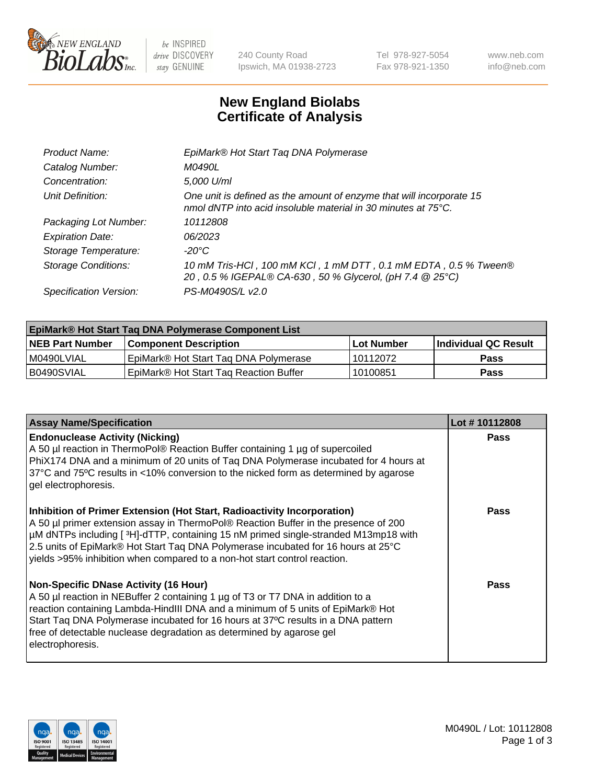

 $be$  INSPIRED drive DISCOVERY stay GENUINE

240 County Road Ipswich, MA 01938-2723 Tel 978-927-5054 Fax 978-921-1350 www.neb.com info@neb.com

## **New England Biolabs Certificate of Analysis**

| EpiMark® Hot Start Tag DNA Polymerase                                                                                                 |
|---------------------------------------------------------------------------------------------------------------------------------------|
| M0490L                                                                                                                                |
| 5,000 U/ml                                                                                                                            |
| One unit is defined as the amount of enzyme that will incorporate 15<br>nmol dNTP into acid insoluble material in 30 minutes at 75°C. |
| 10112808                                                                                                                              |
| 06/2023                                                                                                                               |
| $-20^{\circ}$ C                                                                                                                       |
| 10 mM Tris-HCl, 100 mM KCl, 1 mM DTT, 0.1 mM EDTA, 0.5 % Tween®<br>20, 0.5 % IGEPAL® CA-630, 50 % Glycerol, (pH 7.4 @ 25°C)           |
| PS-M0490S/L v2.0                                                                                                                      |
|                                                                                                                                       |

| <b>EpiMark® Hot Start Taq DNA Polymerase Component List</b> |                                                    |              |                      |  |  |
|-------------------------------------------------------------|----------------------------------------------------|--------------|----------------------|--|--|
| <b>NEB Part Number</b>                                      | <b>Component Description</b>                       | l Lot Number | Individual QC Result |  |  |
| I M0490LVIAL                                                | EpiMark® Hot Start Tag DNA Polymerase              | 10112072     | <b>Pass</b>          |  |  |
| B0490SVIAL                                                  | EpiMark <sup>®</sup> Hot Start Tag Reaction Buffer | 10100851     | Pass                 |  |  |

| <b>Assay Name/Specification</b>                                                                                                                                                                                                                                                                                                                                                                                        | Lot #10112808 |
|------------------------------------------------------------------------------------------------------------------------------------------------------------------------------------------------------------------------------------------------------------------------------------------------------------------------------------------------------------------------------------------------------------------------|---------------|
| <b>Endonuclease Activity (Nicking)</b><br>A 50 µl reaction in ThermoPol® Reaction Buffer containing 1 µg of supercoiled<br>PhiX174 DNA and a minimum of 20 units of Taq DNA Polymerase incubated for 4 hours at<br>37°C and 75°C results in <10% conversion to the nicked form as determined by agarose<br>gel electrophoresis.                                                                                        | Pass          |
| Inhibition of Primer Extension (Hot Start, Radioactivity Incorporation)<br>A 50 µl primer extension assay in ThermoPol® Reaction Buffer in the presence of 200<br>µM dNTPs including [3H]-dTTP, containing 15 nM primed single-stranded M13mp18 with<br>2.5 units of EpiMark® Hot Start Taq DNA Polymerase incubated for 16 hours at 25°C<br>yields >95% inhibition when compared to a non-hot start control reaction. | <b>Pass</b>   |
| <b>Non-Specific DNase Activity (16 Hour)</b><br>A 50 µl reaction in NEBuffer 2 containing 1 µg of T3 or T7 DNA in addition to a<br>reaction containing Lambda-HindIII DNA and a minimum of 5 units of EpiMark® Hot<br>Start Taq DNA Polymerase incubated for 16 hours at 37°C results in a DNA pattern<br>free of detectable nuclease degradation as determined by agarose gel<br>electrophoresis.                     | Pass          |

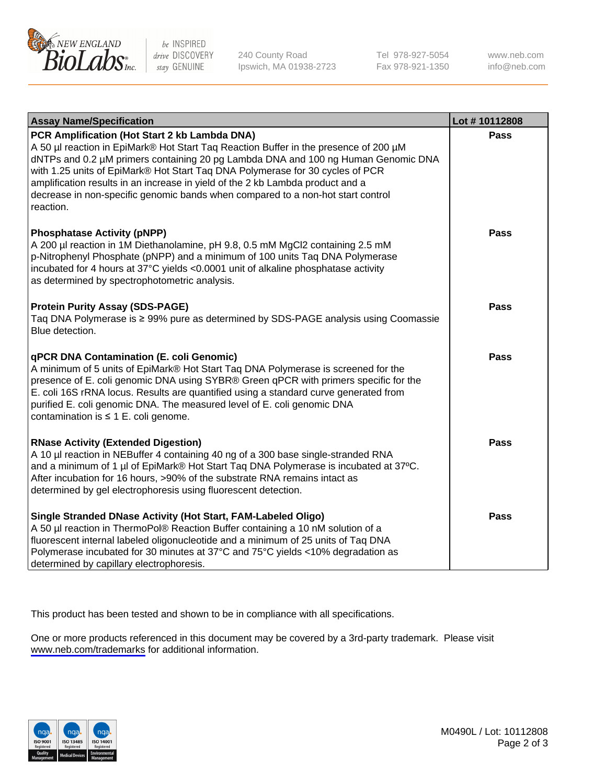

be INSPIRED drive DISCOVERY stay GENUINE

240 County Road Ipswich, MA 01938-2723 Tel 978-927-5054 Fax 978-921-1350

www.neb.com info@neb.com

| <b>Assay Name/Specification</b>                                                                                                                                                                                                                                                                                                                                                                                                                                                               | Lot #10112808 |
|-----------------------------------------------------------------------------------------------------------------------------------------------------------------------------------------------------------------------------------------------------------------------------------------------------------------------------------------------------------------------------------------------------------------------------------------------------------------------------------------------|---------------|
| PCR Amplification (Hot Start 2 kb Lambda DNA)<br>A 50 µl reaction in EpiMark® Hot Start Taq Reaction Buffer in the presence of 200 µM<br>dNTPs and 0.2 µM primers containing 20 pg Lambda DNA and 100 ng Human Genomic DNA<br>with 1.25 units of EpiMark® Hot Start Taq DNA Polymerase for 30 cycles of PCR<br>amplification results in an increase in yield of the 2 kb Lambda product and a<br>decrease in non-specific genomic bands when compared to a non-hot start control<br>reaction. | <b>Pass</b>   |
| <b>Phosphatase Activity (pNPP)</b><br>A 200 µl reaction in 1M Diethanolamine, pH 9.8, 0.5 mM MgCl2 containing 2.5 mM<br>p-Nitrophenyl Phosphate (pNPP) and a minimum of 100 units Taq DNA Polymerase<br>incubated for 4 hours at 37°C yields <0.0001 unit of alkaline phosphatase activity<br>as determined by spectrophotometric analysis.                                                                                                                                                   | <b>Pass</b>   |
| <b>Protein Purity Assay (SDS-PAGE)</b><br>Taq DNA Polymerase is ≥ 99% pure as determined by SDS-PAGE analysis using Coomassie<br>Blue detection.                                                                                                                                                                                                                                                                                                                                              | <b>Pass</b>   |
| <b>qPCR DNA Contamination (E. coli Genomic)</b><br>A minimum of 5 units of EpiMark® Hot Start Taq DNA Polymerase is screened for the<br>presence of E. coli genomic DNA using SYBR® Green qPCR with primers specific for the<br>E. coli 16S rRNA locus. Results are quantified using a standard curve generated from<br>purified E. coli genomic DNA. The measured level of E. coli genomic DNA<br>contamination is $\leq 1$ E. coli genome.                                                  | <b>Pass</b>   |
| <b>RNase Activity (Extended Digestion)</b><br>A 10 µl reaction in NEBuffer 4 containing 40 ng of a 300 base single-stranded RNA<br>and a minimum of 1 µl of EpiMark® Hot Start Taq DNA Polymerase is incubated at 37°C.<br>After incubation for 16 hours, >90% of the substrate RNA remains intact as<br>determined by gel electrophoresis using fluorescent detection.                                                                                                                       | <b>Pass</b>   |
| Single Stranded DNase Activity (Hot Start, FAM-Labeled Oligo)<br>A 50 µl reaction in ThermoPol® Reaction Buffer containing a 10 nM solution of a<br>fluorescent internal labeled oligonucleotide and a minimum of 25 units of Taq DNA<br>Polymerase incubated for 30 minutes at 37°C and 75°C yields <10% degradation as<br>determined by capillary electrophoresis.                                                                                                                          | <b>Pass</b>   |

This product has been tested and shown to be in compliance with all specifications.

One or more products referenced in this document may be covered by a 3rd-party trademark. Please visit <www.neb.com/trademarks>for additional information.